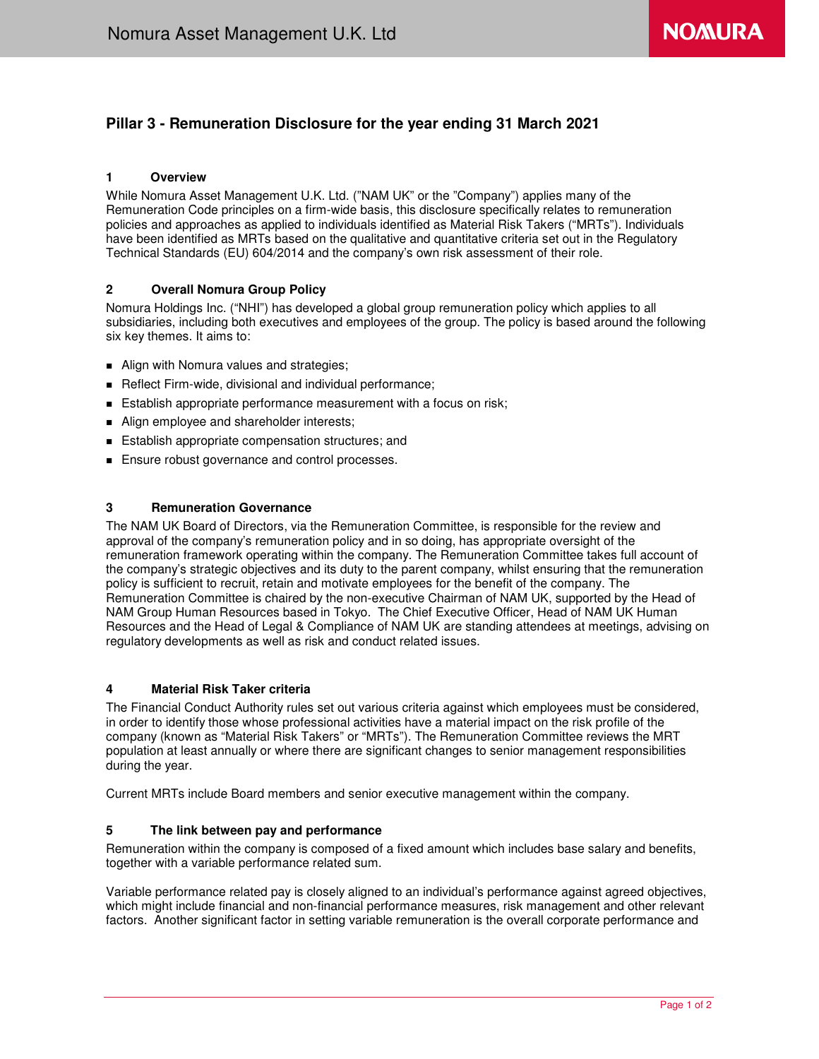# **Pillar 3 - Remuneration Disclosure for the year ending 31 March 2021**

## **1 Overview**

While Nomura Asset Management U.K. Ltd. ("NAM UK" or the "Company") applies many of the Remuneration Code principles on a firm-wide basis, this disclosure specifically relates to remuneration policies and approaches as applied to individuals identified as Material Risk Takers ("MRTs"). Individuals have been identified as MRTs based on the qualitative and quantitative criteria set out in the Regulatory Technical Standards (EU) 604/2014 and the company's own risk assessment of their role.

## **2 Overall Nomura Group Policy**

Nomura Holdings Inc. ("NHI") has developed a global group remuneration policy which applies to all subsidiaries, including both executives and employees of the group. The policy is based around the following six key themes. It aims to:

- **Align with Nomura values and strategies;**
- Reflect Firm-wide, divisional and individual performance;
- **Establish appropriate performance measurement with a focus on risk;**
- Align employee and shareholder interests;
- **Establish appropriate compensation structures; and**
- **Ensure robust governance and control processes.**

## **3 Remuneration Governance**

The NAM UK Board of Directors, via the Remuneration Committee, is responsible for the review and approval of the company's remuneration policy and in so doing, has appropriate oversight of the remuneration framework operating within the company. The Remuneration Committee takes full account of the company's strategic objectives and its duty to the parent company, whilst ensuring that the remuneration policy is sufficient to recruit, retain and motivate employees for the benefit of the company. The Remuneration Committee is chaired by the non-executive Chairman of NAM UK, supported by the Head of NAM Group Human Resources based in Tokyo. The Chief Executive Officer, Head of NAM UK Human Resources and the Head of Legal & Compliance of NAM UK are standing attendees at meetings, advising on regulatory developments as well as risk and conduct related issues.

### **4 Material Risk Taker criteria**

The Financial Conduct Authority rules set out various criteria against which employees must be considered, in order to identify those whose professional activities have a material impact on the risk profile of the company (known as "Material Risk Takers" or "MRTs"). The Remuneration Committee reviews the MRT population at least annually or where there are significant changes to senior management responsibilities during the year.

Current MRTs include Board members and senior executive management within the company.

## **5 The link between pay and performance**

Remuneration within the company is composed of a fixed amount which includes base salary and benefits, together with a variable performance related sum.

Variable performance related pay is closely aligned to an individual's performance against agreed objectives, which might include financial and non-financial performance measures, risk management and other relevant factors. Another significant factor in setting variable remuneration is the overall corporate performance and